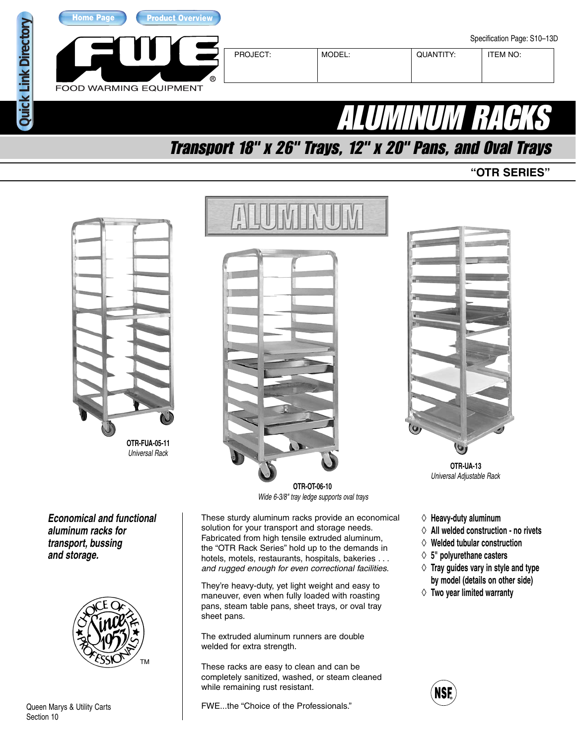

## Transport 18" x 26" Trays, 12" x 20" Pans, and Oval Trays

**"OTR SERIES"**



Universal Rack

**Economical and functional aluminum racks for transport, bussing and storage.**



Queen Marys & Utility Carts Section 10



**OTR-OT-06-10** Wide 6-3/8" tray ledge supports oval trays

These sturdy aluminum racks provide an economical solution for your transport and storage needs. Fabricated from high tensile extruded aluminum, the "OTR Rack Series" hold up to the demands in hotels, motels, restaurants, hospitals, bakeries . . . and rugged enough for even correctional facilities.

They're heavy-duty, yet light weight and easy to maneuver, even when fully loaded with roasting pans, steam table pans, sheet trays, or oval tray sheet pans.

The extruded aluminum runners are double welded for extra strength.

These racks are easy to clean and can be completely sanitized, washed, or steam cleaned while remaining rust resistant.

FWE...the "Choice of the Professionals."



**OTR-UA-13** Universal Adjustable Rack

- ◊ **Heavy-duty aluminum**
- ◊ **All welded construction no rivets**
- ◊ **Welded tubular construction**
- ◊ **5" polyurethane casters**
- ◊ **Tray guides vary in style and type by model (details on other side)**
- ◊ **Two year limited warranty**